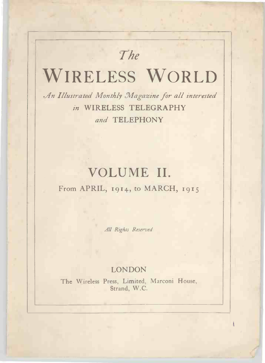# WIRELESS WORLD

The

An Illustrated Monthly Magazine for all interested in WIRELESS TELEGRAPHY and TELEPHONY

# VOLUME II.

## From APRIL, 1914, to MARCH, 1915

All Rights Reserved

# LONDON

The Wireless Press, Limited, Marconi House, Strand, W.C.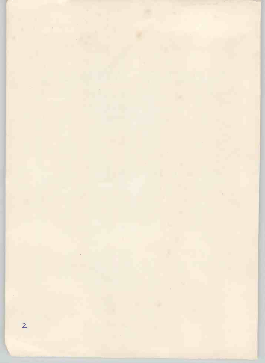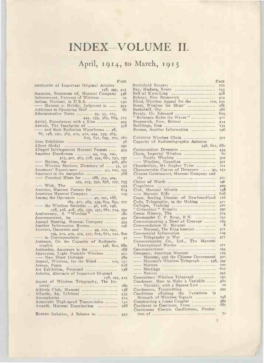# INDEX-VOLUME II.

# April, 1914, to March, 1915

PAGE

| ABSTRACTS of Important Original Articles                             |                 | Battlefic                  |
|----------------------------------------------------------------------|-----------------|----------------------------|
| 158, 295, 425                                                        |                 | Bay, H                     |
| Accounts, Statement of, Marconi Company                              | 336             | Bell of                    |
| Achievement, Forecast of Wireless                                    | 79              | Belmar                     |
|                                                                      | 130             | Blind,                     |
| - Marconi v. Helsby, Judgment in                                     | 392             | Boats,                     |
| Additions to Operating Staff                                         | 66              | <b>Booksh</b>              |
|                                                                      |                 | Branly,                    |
| Administrative Notes  59, 93, 172,<br>444, 533, 565, 663,            | 725             | "Brital                    |
| Aërial, Experiences with a Kite                                      | 405             | Brunsw                     |
| Aërials, The Insulation of                                           | 328             | Buildin                    |
| - and their Radiation Waveforms  28,                                 |                 | Bureau.                    |
| 86, 148, 292, 363, 419, 422, 494, 559, 563,                          |                 |                            |
| 629, 631, 699, 702,                                                  | 760             | CANADI.                    |
|                                                                      | 56              | Capacit                    |
|                                                                      | 23I             |                            |
| Alleged Infringement Marconi Patents                                 | 323             | Carbori                    |
| Amateur Handyman  44, 104, 190,                                      |                 | Chain,                     |
| 315, 407, 463, 528, 594, 660, 732, 797                               |                 | $\rightharpoonup$ P        |
|                                                                      |                 | $-$ W                      |
| - Wireless Stations, Directory of  53, 97                            |                 | Chambe                     |
| Amateurs' Experiences  42, 102, 255                                  |                 | Charac                     |
| Amateurs in the Antipodes                                            | 768             | Chinese                    |
| — Practical Hints for $188, 314, 404$ ,                              |                 | the                        |
| 459, 523, 592, 656, 727,                                             | 755             | Choice                     |
|                                                                      | 433             | Cingale                    |
| America, Marconi Patents for                                         | 674             | Club, 1                    |
| American Marconi Company                                             | 120             | $-\mathbf{M}$              |
| Among the Operators  40, 101, 168,                                   |                 | Coast,                     |
| 269, 311, 469, 539, 604, 645,                                        | 707             | Code,                      |
| - the Wireless Societies  46, 106, 196,                              |                 | $_{\rm College}$           |
| 258, 316, 408, 465, 530, 597, 661, 724,<br>Anniversary, A "Wireless" | 702             | " Colur                    |
|                                                                      | 280             | Comic                      |
| Announcement, An                                                     | 492             | Comma                      |
| Annual Meeting, Marconi Company                                      | 394             | Comme                      |
| Another Information Bureau                                           | 246             | Comme<br>— М               |
| Answers, Questions and  49, 112, 192,                                |                 | Comme                      |
| 259, 319, 409, 474, 537, 602, 671, 742,                              | 800             | $\overline{\phantom{a}}$ T |
| Antennæ, On the Capacity of Radiotele-                               | 41              | Commu                      |
|                                                                      | 680             | Inter                      |
| Antipodes, Amateurs in the                                           | 768             | Commu                      |
|                                                                      | 402             | Compai                     |
| Apparatus, Light Portable Wireless<br>—— New Short Distance          | 589             | $\overline{\phantom{a}}$ M |
| Appeal, Wireless, for the Blind  110,                                | 157             |                            |
|                                                                      | 618             | $\frac{M}{M}$              |
| Art Exhibition, Proposed                                             | 138             |                            |
| Articles, Abstracts of Important Original                            |                 | $- N$                      |
| 158, 295,                                                            | 425             | Compu                      |
| Aspect of Wireless Telegraphy, The Im-                               |                 | Conder                     |
|                                                                      | 28 <sub>0</sub> | $-$ v                      |
|                                                                      | 138             | Conder                     |
|                                                                      | 453             | Conditi                    |
|                                                                      | 374             | Stren                      |
| Automatic High-speed Transmission                                    | 741             | Constru                    |
| Awards, Marconi Examination                                          | 268             | Contine                    |
|                                                                      |                 | Contin                     |
| BANISH Isolation, A Scheme to  493                                   |                 | tion.                      |
|                                                                      |                 |                            |

| <b>AGE</b>      |                                                                              | PAGE            |  |
|-----------------|------------------------------------------------------------------------------|-----------------|--|
|                 | Battlefield Surgery                                                          | 772             |  |
| 425             |                                                                              | 153             |  |
| 336             |                                                                              | 428             |  |
| 79              | Belmar, New Brunswick                                                        | 414             |  |
| 130             | Blind, Wireless Appeal for the  110, 157                                     |                 |  |
| 392             | Boats, Wireless for Ships'                                                   | <b>186</b>      |  |
| 66              |                                                                              | 268             |  |
|                 |                                                                              | 679             |  |
| 725             | "Britannia Rules the Waves"                                                  | <b>AII</b>      |  |
| 405             | Brunswick, New, Belmar                                                       | 414             |  |
| 328             |                                                                              | I32             |  |
|                 | Bureau, Another Information                                                  | 246             |  |
|                 | CANADIAN Wireless Chain                                                      |                 |  |
| 760             | Capacity of Radiotelegraphic Antennæ                                         | 30I             |  |
| 56              | 546, 612,                                                                    | 680             |  |
| 23I             |                                                                              |                 |  |
| 323             | Chain, Imperial Wireless                                                     | 434<br>60       |  |
| 797             | - Pacific Wireless                                                           | 502             |  |
| 461             |                                                                              | 30I             |  |
| 97              | Chamberlain, Mr. Eugène Tyler                                                | 2II             |  |
| 255             | Characteristic Curves of Detectors  90,                                      | 152             |  |
| 768             | Chinese Government, Marconi Company and                                      |                 |  |
|                 | the.                                                                         | 300             |  |
| 755             |                                                                              | 240             |  |
| 433             |                                                                              | 300.            |  |
| 674             |                                                                              | 138             |  |
| 129             |                                                                              | 676             |  |
|                 | Coast, Sealing Disaster off Newfoundland<br>Code, Telegraphic, in the Making | 116             |  |
| 707             |                                                                              | 47 <sup>1</sup> |  |
|                 |                                                                              | 410             |  |
| 702             | "Columbian" Enquiry                                                          | 390             |  |
| 280             |                                                                              | 574             |  |
| 492             | Commander C. P. Ryan, R.N.                                                   | 142             |  |
| 394             | Commemorating a Deed of Courage                                              | 169             |  |
| 246             |                                                                              | -8              |  |
|                 | Marconi, The King honours                                                    | 371             |  |
| 800             |                                                                              | 120             |  |
| 41              | Communication Co., Ltd., The Marconi                                         | 477             |  |
| 680             | International Marine                                                         | 271             |  |
| 768             |                                                                              | 234             |  |
| 402             | Company, American Marconi                                                    | 120             |  |
| 589             |                                                                              | 300             |  |
| 157             | Marconi, and the Chinese Government<br>—— Marconi's Wireless Telegraph  336, | 394             |  |
| 618             |                                                                              | 270             |  |
| 138             |                                                                              | 607             |  |
|                 |                                                                              | 345             |  |
| 425             | Compulsory Wireless Telegraph                                                | 250             |  |
|                 | Condenser, How to Make a Variable                                            | 460             |  |
| 28 <sub>Q</sub> | - Variable, with a Square Law                                                | 20              |  |
| 138             | Condensers, Transmitting<br>Conditions affecting the Variations in           | 599             |  |
| 453             |                                                                              |                 |  |
| 374             | Strength of Wireless Signals                                                 | 748             |  |
| 74I             | Constructing a Loose Coupler                                                 | 463             |  |
| 268             | Continent to Continent, From                                                 | 687             |  |
|                 | Continuous Electric Oscillations, Produc-                                    |                 |  |
| 493             |                                                                              | 72              |  |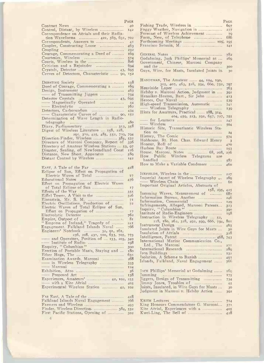|                                                | LAGE             |                                             | PAGE            |
|------------------------------------------------|------------------|---------------------------------------------|-----------------|
|                                                | 40               |                                             | 697             |
| Control, Distant, by Wireless                  | 142              | Foggy Weather, Navigation in                | 277             |
| Correspondence on Aërials and their Radia-     |                  | Forecast of Wireless Achievement            | 79              |
|                                                |                  |                                             |                 |
| tion Waveforms  422, 563, 631, 702             |                  | Form, New, of Telephone                     | 686             |
| Correspondents, Answers to                     | 4I               |                                             |                 |
| Coupler, Constructing Loose                    | 4 <sup>6</sup> 3 |                                             | I4I             |
|                                                | 232              |                                             |                 |
| Courage, Commemorating a Deed of  169          |                  |                                             |                 |
|                                                |                  |                                             | 782             |
|                                                | 574              | Godalming, Jack Phillips' Memorial at       | 169             |
|                                                | 8 <sub>o</sub>   | Government, Chinese, Marconi Company        |                 |
| Criticism and a Rejoinder  694                 |                  |                                             | 300             |
|                                                |                  |                                             |                 |
|                                                |                  | Guys, Wire, for Masts, Insulated Joints in  | 3 <sup>o</sup>  |
| Curves of Detectors, Characteristic  90, 152   |                  |                                             |                 |
|                                                |                  |                                             |                 |
|                                                | 138              | HANDYMAN, The Amateur  44, 104, 190,        |                 |
| Deed of Courage, Commemorating a               | 100              | 315, 407, 463, 528, 594, 660, 732, 797      |                 |
|                                                |                  |                                             | 703             |
|                                                | 4 <sup>6</sup> 3 | Helsby $v$ . Marconi Action, Judgment in    | 39 <sup>2</sup> |
|                                                |                  | Henniker-Heaton, Bart., Sir John            | 413             |
|                                                |                  |                                             |                 |
| - Magnetically Operated                        | 44               |                                             | 539             |
|                                                |                  | High-speed Transmission, Automatic          | 741             |
|                                                | 762              | Wireless Telegraphy                         | 139             |
|                                                |                  | Hints for Amateurs, Practical  188, 314,    |                 |
|                                                |                  |                                             |                 |
| Determination of Wave Length in Radio-         |                  | 404, 459, 523, 592, 657, 727, 755           |                 |
|                                                |                  |                                             | 247             |
|                                                |                  | — Wireless                                  | 504             |
|                                                |                  | Historic Site, Transatlantic Wireless Sta-  |                 |
| Digest of Wireless Literature  158, 228,       |                  |                                             | 24              |
| 205, 370, 425, 485, 552, 730, 794              |                  |                                             |                 |
|                                                |                  |                                             | 574             |
| Directors of Marconi Company, Report of 336    |                  | Hobhouse, Rt. Hon. Chas. Edward Henry       | 3               |
|                                                |                  |                                             | 470             |
| Directory of Amateur Wireless Stations  53, 97 |                  |                                             | 153             |
| Disaster, Sealing, off Newfoundland Coast 116  |                  |                                             |                 |
| Distance, New Short. Apparatus                 | 589              | House, Marconi, Notes  68, 208, 276         |                 |
| Distant Control by Wireless                    | 142              | How Public Wireless Telegrams are           |                 |
|                                                |                  |                                             | 587             |
|                                                |                  | How to Make a Variable Condenser            | 460             |
|                                                | 428              |                                             |                 |
| Eclipse of Sun, Effect on Propagation of       |                  |                                             |                 |
|                                                |                  |                                             | 227             |
| Electric Waves of Total                        | エク               | Imperial Aspect of Wireless Telegraphy      | 28 <sub>Q</sub> |
|                                                | 476              |                                             |                 |
| Effect on Propagation of Electric Waves        |                  |                                             | $60^{\circ}$    |
|                                                | I7               | Important Original Articles, Abstracts of   |                 |
|                                                |                  | 158, 295, 425                               |                 |
|                                                | 355              | Incoming Waves, Measurement of              | 687             |
|                                                | 320              | Information Bureau, Another                 | 246             |
|                                                | 7 <sup>T</sup>   | Information, Commercial                     |                 |
| Electric Oscillations, Production of           | 72               |                                             | <b>120</b>      |
| Electric Waves of Total Eclipse of Sun,        |                  | Infringements, Alleged, Marconi Patents     |                 |
| Effect on Propagation of                       | I7               | Inquiry, "Columbian"                        | $3^{2}3$        |
|                                                |                  |                                             | 390             |
|                                                |                  | Institute of Radio-Engineers                | 198             |
|                                                | 762              |                                             |                 |
| Empire, Outpost of                             | 8 <sub>I</sub>   | Instruction in Wireless Telegraphy  52,     |                 |
| "Empress of Ireland," Tragedy of               | 24I              | 118, 180, 262, 328, 492, 599, 666, 734, 801 |                 |
| Engagement, Falkland Islands Naval             | 766              |                                             | 403             |
|                                                |                  | Insulated Joints in Wire Guys for Masts     | 30              |
| Engineers' Notebook $32$ , $91$ , $161$ ,      |                  |                                             | 328             |
| 236, 208, 437, 500, 633, 705, 773              |                  |                                             |                 |
| -and Operators, Position of  133, 203, 340     |                  |                                             |                 |
|                                                |                  | International Marine Communication Co.,     |                 |
|                                                | 390              |                                             | 27I             |
|                                                |                  | International Research                      | 28 <sub>0</sub> |
| Erection of Portable Masts, Staying and  180   |                  |                                             | 132             |
|                                                | 635              |                                             |                 |
| Examination Awards, Marconi                    | 268              | Isolation, A Scheme to Banish               | 493             |
| $-$ in Wireless Telegraphy                     | 333              | Islands, Falkland, Naval Engagement         | 766             |
|                                                | <b>I24</b>       |                                             |                 |
|                                                |                  |                                             |                 |
|                                                | 56               | JACK Phillips' Memorial at Godalming        | 160             |
|                                                | 138              | Jamming                                     | I75             |
| Experiences, Amateurs'  42, 102, 255           |                  | Jiggers, Design of Transmitting             | 734             |
|                                                |                  | Jimmy Jones, Troubles of                    | 45              |
| Experimental Wireless Station  42, 102         |                  |                                             | 30              |
|                                                |                  | Joints, Insulated, in Wire Guys for Masts   |                 |
|                                                |                  | Judgment in Marconi v. Helsby Action        | 392             |
|                                                | 428              |                                             |                 |
|                                                |                  |                                             |                 |
| Falkland Islands Naval Engagement              | 766              |                                             | 714             |
|                                                |                  | King Honours Commendatore G. Marconi        | 37I             |
|                                                |                  | Kite Aërial, Experiences with a             | 405             |
|                                                |                  |                                             | 428             |
| 4                                              |                  |                                             |                 |

PAGE<br>697  $\frac{697}{0}$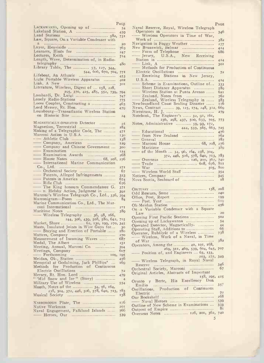| LACKAWANNA, Opening up of                                               | 54               | Naval Reserve, Royal, Wireless Telegraph    |                 |
|-------------------------------------------------------------------------|------------------|---------------------------------------------|-----------------|
|                                                                         | 459              |                                             | 340             |
|                                                                         |                  | ---- Wireless Operators in Time of War,     |                 |
| Law, Square, On a Variable Condenser with                               |                  |                                             | 382             |
|                                                                         | 20               | Navigation in Foggy Weather                 | 277             |
|                                                                         | 703              | New Brunswick, Belmar                       | 4I4             |
|                                                                         | 247              |                                             | 686             |
|                                                                         | 714              | - Jersey, U.S.A., New Receiving             |                 |
| Length, Wave, Determination of, in Radio-                               |                  |                                             | 4I4             |
|                                                                         | 480              |                                             | 30 <sup>T</sup> |
| Library Table, The  57, 127, 344,                                       |                  | - Methods for Production of Continuous      |                 |
| 544, 606, 670, 704, 771                                                 |                  | Electric Oscillations                       | 72              |
| Lifeboat, An Atlantic                                                   | 453              | - Receiving Stations in New Jersey,         |                 |
| Light Portable Wireless Apparatus                                       | 402              |                                             | 4I4             |
|                                                                         | 301              | -Scheme in Examinations, Outline of         | 333             |
| Literature, Wireless, Digest of  158, 228,                              |                  | Short Distance Apparatus                    | 589             |
| 295, 370, 425, 485, 552, 739, 794                                       |                  | ---- Wireless Station at Punta Arenas       | 021             |
| Lombardi, Dr. Luigi                                                     | 747              | $-$ Zealand, Notes from                     | 762             |
| Lonely Radio-Stations                                                   |                  | - Zealand, Wireless Telegraphy in           | 583             |
| Loose Coupler, Constructing a                                           | 775              | Newfoundland Coast Sealing Disaster         | 110             |
| Lord Mersey, Rt. Hon.                                                   | 4 <sup>6</sup> 3 | News, Contract  39, 125, 174, 248, 312, 669 |                 |
| Louisbourg-Transatlantic Wireless Station                               | 479              |                                             | 279             |
|                                                                         |                  | Notebook, The Engineer's  32, 91, 161,      |                 |
|                                                                         | 24               |                                             |                 |
| MAGNETICALLY-OPERATED Detector                                          |                  | 236, 298, 437, 500, 633, 705, 773           |                 |
|                                                                         | $+4$<br>284      | Notes, Administrative  59, 93, 172,         |                 |
| Making of a Telegraphic Code, The                                       |                  | 444, 533, 565, 663, 725                     |                 |
| Marconi Action in U.S.A.                                                | 47I              |                                             |                 |
|                                                                         | 130              | - from New Zealand                          | 762             |
|                                                                         | 138              |                                             | 782             |
|                                                                         | 129              |                                             |                 |
|                                                                         | 300              |                                             | 389             |
|                                                                         | 124              | - of the Month  34, 96, 164, 238, 304,      |                 |
| Examination Awards<br>House Notes<br>International Marine Communication |                  | 372, 446, 506, 578, 640, 713, 783           |                 |
|                                                                         |                  | - Overseas  126, 200, 362, 740              |                 |
|                                                                         |                  |                                             |                 |
|                                                                         | 27I              |                                             |                 |
|                                                                         | 67               |                                             | 354             |
|                                                                         | 323              |                                             | 345             |
|                                                                         | 074              |                                             | - 18            |
|                                                                         | 676              |                                             |                 |
| The King honours Commendatore G.<br>v. Helsby Action, Judgment in       | 37I              |                                             |                 |
|                                                                         | 392              |                                             |                 |
| Marconi's Wireless Telegraph Co., Ltd., 336, 394                        |                  |                                             | 240             |
| Marconigram—Poem                                                        | 84               |                                             | 199<br>600      |
| Marine Communication Co., Ltd., The Mar-                                |                  |                                             |                 |
|                                                                         | 271              |                                             | 456             |
|                                                                         | 389              | On-a Variable Condenser with a Square       |                 |
| — Wireless Telegraphy  36, 98, 166,                                     |                  |                                             | 20              |
| 244, 306, 439, 508, 580, 642, 715                                       |                  | Opening First Pacific Stations              | 502             |
| Market, Share  62, 130, 199, 270, 345                                   |                  | Opening up of Lackawanna                    | 54              |
| Masts, Insulated Joints in Wire Guys for                                | 3 <sup>o</sup>   | Operated Detector, Magnetically-            | 44              |
| -Staying and Erection of Portable                                       | 180              | Operating Staff, Additions to               | 66              |
|                                                                         | 270              | Operator, Rubáiyát of a Wireless            | 738             |
| Measurement of Incoming Waves                                           | 687              | - Wireless, Work of a Naval, in Time        |                 |
|                                                                         | 23I              |                                             | 382             |
| Meeting, Annual, Marconi Co.                                            | 394              | Operators, Among the  40, 101, 168,         |                 |
| Meetings, Company  607                                                  |                  | 269, 311, 469, 539, 604, 645, 707           |                 |
|                                                                         |                  | - Position of, and Engineers  63, 133,      |                 |
|                                                                         |                  | 203, 272,                                   | 349             |
| Memorial at Godalming, Jack Phillips'                                   | 169              | - Wireless Telegraph, in Royal Naval        |                 |
|                                                                         |                  |                                             | 346             |
| Methods for Production of Continuous                                    |                  | Orchestral Society, Marconi                 | 67              |
| Electric Oscillations                                                   | 72               | Original Articles, Abstracts of Important   |                 |
| Mersey, Rt. Hon. Lord                                                   | 479              | 158, 295, 425                               |                 |
| "Mid Snow and Ice" (Story)                                              | $\overline{4}$   | Orunto y Berte, His Excellency Don          |                 |
| Military Use of Wireless                                                | 554              |                                             | 357             |
| Month, Notes of the  34, 96, 164,                                       |                  | Oscillations, Production of Continuous      |                 |
| 238, 304, 372, 446, 506, 578, 640, 713, 783                             |                  |                                             | 72              |
|                                                                         | 138              |                                             | 268             |
|                                                                         |                  |                                             | 539             |
|                                                                         | 176              | Outline of New Scheme in Examinations       | 333             |
|                                                                         | 20I              |                                             | 81              |
| Naval Engagement, Falkland Islands                                      | 766              |                                             |                 |

 $P_{\text{ACF}}$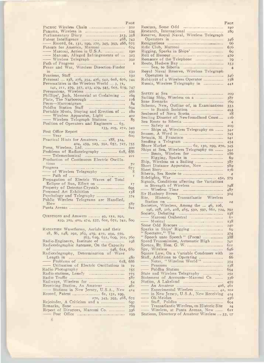|                                              | PAGE           |                     |
|----------------------------------------------|----------------|---------------------|
| PACIFIC Wireless Chain                       | 502            | Rescues, Sor        |
| Panama, Wireless in                          | 534            | Research, In        |
| Parliamentary Diary  313,                    | 358            | Reserve, Roy        |
|                                              | 743            | <b>Operators</b>    |
| Record, 61, 131, 199, 270, 345, 393, 468,    | 675            | Resignations        |
|                                              |                | Rifle Club,         |
| Patents for America, Marconi                 | 674            |                     |
| - Marconi, Action in U.S.A.                  | 130            | Rigging, Spa        |
| - Marconi, Alleged Infringements of          | 323            | Roll of Home        |
| - Wireless Telegraph                         | 392            | Romance of          |
|                                              | $\mathbb{I}$   | Route, Huds         |
| Peace and War, Wireless Direction-Finder     |                | $-$ Sea, to         |
|                                              | 532            | Royal Nava          |
|                                              | 132            | Operators           |
| Personal  138, 276, 354, 476, 542, 608, 676, | 744            | Rubáiyát of         |
| Personalities in the Wireless World  3, 71,  |                | Russia, Wire        |
| 141, 211, 279, 357, 413, 479, 545, 607, 679, | 747            |                     |
| Persuasions, Wireless                        |                |                     |
|                                              | 566            | SAFETY at Se        |
| Phillips', Jack, Memorial at Godalming       | <b>160</b>     | Sailing Ship        |
|                                              | 176            | Sane Remarl         |
|                                              | 84             | Scheme, Nev         |
| Poldhu Station Staff                         | 694            | — to Bani           |
| Portable Masts, Staying and Erection of      | 180            |                     |
| - Wireless Apparatus, Light                  | 402            | Seaboard of         |
| - Wireless Telegraph Stations                | 8 <sub>5</sub> | Sealing Disa        |
| Position of Operators and Engineers  63,     |                | Sea Route to        |
| 133, 203, 272,                               | 349            | -Safety             |
|                                              |                | -Ships a            |
|                                              | <b>100</b>     | Season, A W         |
|                                              | 600            | Setuain, M.         |
| Practical Hints for Amateurs  188, 314,      |                | Sending a 7         |
| 404, 459, 523, 592, 657, 727,                | 755            | Share Marke         |
|                                              | 300            | Ships at Sea        |
|                                              | 686            |                     |
| Telemechanical                               | 22I            | -Boats,<br>-Rigging |
| Production of Continuous Electric Oscilla-   |                |                     |
|                                              | 72             | Ship, Wirele        |
|                                              | 677            | Short Distan        |
| -of Wireless Telegraphy                      | 8              | Short Story.        |
|                                              | I.             | Siberia, Sea        |
| Propagation of Electric Waves of Total       |                | Sidelights, V       |
|                                              |                | Signals, Con        |
| Eclipse of Sun, Effect on                    | 17             | in Strength         |
| Property of Detector-Crystals                | 695            | - Wireles           |
| Proposed Art Exhibition                      | 138            | Sir Hanbury         |
| Psychology and Telegraphy                    | 374            | Site, Histo         |
| Public Wireless Telegrams are Handled,       |                | Station on          |
|                                              | 587            | Societies, W        |
|                                              | 621            | 196, 258,           |
|                                              |                | Society, Deb        |
| QUESTIONS and Answers  49, 112, 192,         |                |                     |
| 259, 319, 409, 474, 537, 602, 671, 742, 809  |                | $-$ Marcon          |
|                                              |                | - Musical           |
|                                              |                | Some Odd F          |

RADIATION Waveforms, Aerials and their<br>28, 86, 148, 292, 363, 419, 422, 494, 559, 28, 86, 148, 292, 363, 419, 422, 494, 559, 563, 629, 631, 699, 702, Radiotelegraphic Antennae, On the Capacity<br>
Radiotelegraphy, Determination of Wave<br>
Radiotelegraphy, Determination of Wave<br>
Length in  $\frac{48}{486}$ <br>
Staff<br>
— Problems of 618, 686<br>
— Utilisation of Electric Oscillations in Radio -stations, Lonely Radio Traffic Radio Traffic - 587<br>Railways, Wireless for 54<br>Receiving Station, An Amateur - 461<br>- Stations in New Jersey, U.S.A., New 414 Record, Patent 6r, 131, 199, 270, 345, 393, 468, Rejoinder, A Criticism and a Remarks, Sane Report of Directors, Marconi Co. - Post Office

|                                           | PAGE |                                                 | <b>PAGE</b>       |  |
|-------------------------------------------|------|-------------------------------------------------|-------------------|--|
| $\cdots$                                  | 502  |                                                 | 240               |  |
| $\cdots$                                  | 534  |                                                 | 28 <sub>9</sub>   |  |
| 313,                                      | 358  | Reserve, Royal Naval, Wireless Telegraph        |                   |  |
| 468, 743                                  |      |                                                 | 34 <sup>b</sup>   |  |
| 468,                                      | 675  |                                                 | 66                |  |
| .                                         | 674  |                                                 | 676               |  |
| 1.1.1                                     | 130  | Rigging, Sparks in Ships'                       | 6 <sub>Q</sub>    |  |
| $\rightarrow$ $\rightarrow$ $\rightarrow$ | 323  |                                                 | 470               |  |
| $\cdots$                                  | 302  | Romance of the Telephone                        | 79                |  |
| $\cdots$                                  | I    |                                                 |                   |  |
| der                                       |      |                                                 | 153               |  |
|                                           |      |                                                 | $\overline{4}$    |  |
| .                                         | 532  | Royal Naval Reserve, Wireless Telegraph         |                   |  |
| $\cdots$                                  | 132  |                                                 | 340               |  |
| 676, 744                                  |      | Rubáiyát of a Wireless Operator                 | 738               |  |
| 71,                                       |      | Russia, Wireless Telegraphy in                  | 441               |  |
| 679,                                      | 747  |                                                 |                   |  |
| .                                         | 566  |                                                 |                   |  |
| $\sim$                                    | 100  |                                                 | 200               |  |
| .                                         | 176  | Sailing Ship, Wireless on a                     | 387               |  |
| .                                         | 84   |                                                 | 700               |  |
| .                                         | 694  | Scheme, New, Outline of, in Examinations.       | 333               |  |
| $\cdots$                                  | 180  |                                                 | 493               |  |
| $\cdots$                                  | 402  | Seaboard of Nova Scotia                         | 18                |  |
|                                           | 85   | Sealing Disaster off Newfoundland Coast         | 116               |  |
| $\cdots$                                  |      |                                                 | $\overline{4}$    |  |
| 63,                                       |      |                                                 | <b>200</b>        |  |
| 272, 349                                  |      | -Ships at, Wireless Telegraphy on               | 342               |  |
| $\cdots$                                  | IQQ  |                                                 | 745               |  |
| .                                         | 600  | Setuain, M. Francisco                           | 141               |  |
| 14,                                       |      |                                                 | 454               |  |
| 727,                                      | 755  | Share Market  62, 130, 199, 270, 345            |                   |  |
| $\cdots$                                  | 300  | Ships at Sea, Wireless Telegraphy on            |                   |  |
| 618,                                      | 686  |                                                 | 342               |  |
| $\cdots$                                  | 221  |                                                 | 186               |  |
| Ia-                                       |      |                                                 | 69                |  |
| .                                         | 72   | Ship, Wireless on a Sailing                     | 387               |  |
| .                                         | 677  | Short Distance Apparatus, New                   | 589               |  |
| .                                         | 8    |                                                 | 170               |  |
|                                           | r    | Siberia, Sea Route to                           | $\frac{4}{x}$     |  |
| $\cdots$                                  |      |                                                 | 575               |  |
| ital                                      |      | Signals, Conditions affecting the Variations    |                   |  |
|                                           | 17   |                                                 | 748               |  |
| .                                         | 695  |                                                 | 487               |  |
| .                                         | 138  | Sir Hanbury Brown                               | 3I4               |  |
| .                                         | 374  | Site, Historic, Transatlantic Wireless          |                   |  |
| ed,                                       |      |                                                 | 24                |  |
|                                           | 587  | Societies, Wireless, Among the  46, 106,        |                   |  |
| .                                         | 62I  |                                                 |                   |  |
|                                           |      | 196, 258, 316, 408, 465, 530, 597, 661, 724,    | 792               |  |
| 92,                                       |      |                                                 | 138               |  |
| 742, 809                                  |      |                                                 | 67                |  |
|                                           |      |                                                 | 138               |  |
|                                           |      |                                                 | 240               |  |
| r                                         |      |                                                 | 69                |  |
| 59,                                       |      |                                                 | 374               |  |
| 702, 760                                  |      | "Speech unto Speech" (Poem)                     | 388               |  |
| $\cdots$                                  | 108  | Speed Transmission, Automatic High              | $74$ <sup>I</sup> |  |
| ity:                                      |      | Spence, Rt. Hon. G. W.                          | 611               |  |
| 612, 680                                  |      |                                                 | 646               |  |
| ave                                       |      | Square Law, On a Variable Condenser with        | $20^{\circ}$      |  |
| $\cdots$                                  | 480  | Staff, Additions to Operating                   | 66                |  |
| 618, 686                                  |      | - Notes, "Wireless World"                       | 354               |  |
| in                                        |      |                                                 | 138               |  |
|                                           | 72   |                                                 |                   |  |
| $\cdots$                                  | 755  |                                                 | 694               |  |
| 1.0000                                    | 775  | State and Wireless Telegraphy                   | 252               |  |
| $\cdots$                                  | 587  | Statement of Accounts—Marconi Co.               | 330               |  |
| $\epsilon$                                | 54   | Station, A Lakeland                             | 459               |  |
| .                                         | 46 I |                                                 | 40I               |  |
| ew                                        | 4I4  |                                                 | IO2               |  |
| 99,                                       |      | - in New Jersey, U.S.A., New Receiving          | 4I4               |  |
| 468,                                      | 675  | - Ok-Meidan                                     | 456               |  |
| $\cdots$                                  | 697  |                                                 | 094               |  |
| $\cdots$                                  | 769  | - Transatlantic Wireless, on Historic Site      | 24                |  |
|                                           |      | - Wireless, at Punta Arenas, New                | 62r               |  |
| $\cdots$                                  | 336  | Stations, Directory of Amateur Wireless  53, 97 |                   |  |
| $\cdots$                                  | 100  |                                                 |                   |  |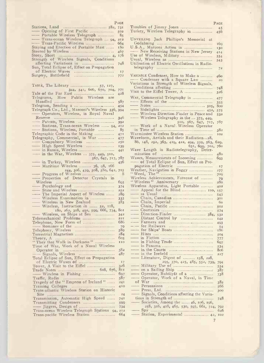|                                                                                   | PAGE   |                                                 |
|-----------------------------------------------------------------------------------|--------|-------------------------------------------------|
|                                                                                   | 731    | Troubles of Jir                                 |
| -Opening of First Pacific                                                         | 502    | Turkey, Wirele                                  |
| --- Portable Wireless Telegraph                                                   | 85     |                                                 |
| - Trans-ocean Wireless Telegraph  94,                                             | 212    | UNVEILING Jac                                   |
| -- Trans-Pacific Wireless                                                         | 664    | Godalming                                       |
| Staying and Erection of Portable Mast                                             | 180    | $U.S.A.,$ Marco:                                |
|                                                                                   | 467    | New Rece                                        |
|                                                                                   | 176    | Use of Wireles                                  |
| Strength of Wireless Signals, Conditions                                          |        | Usual, Wireles                                  |
| affecting Variations in                                                           | 748    | Utilisation of E                                |
| Sun, Total Eclipse of, Effect on Propagation                                      |        | telegraphy                                      |
|                                                                                   | 17     |                                                 |
|                                                                                   | 772    | <b>VARIABLE Conde</b>                           |
|                                                                                   |        | —— Condenser                                    |
| TABLE, The Library  57, 127,                                                      |        | Variations in S                                 |
| 344, 541, 606, 670, 704,                                                          | 771    | Conditions af                                   |
|                                                                                   | 428    | Visit to the Eif                                |
|                                                                                   |        | WAR, Commerc                                    |
|                                                                                   | 587    |                                                 |
|                                                                                   | 454    | —— Notes ……                                     |
| Telegraph Co., Ltd., Marconi's Wireless 336, 394                                  |        | -Sidelights                                     |
| - Operators, Wireless, in Royal Naval                                             |        | ----- Wireless I                                |
|                                                                                   | 340    | ---- Wireless J                                 |
|                                                                                   | 392    |                                                 |
| - Stations, Trans-ocean Wireless  94,                                             | 212    | - Work of                                       |
| -Stations, Wireless, Portable                                                     | $85 -$ | in Time of                                      |
| Telegraphic Code in the Making                                                    | 47I    | Warminster Wi                                   |
| Telegraphy, Commercial, in War                                                    | 477    | Waveform, Aer                                   |
|                                                                                   | 250    | 86, 148, 292,                                   |
|                                                                                   | 139    | Wave Length                                     |
| - in the War, Wireless  375, 449, 510,                                            | 441    | mination of                                     |
|                                                                                   |        | Waves, Measur                                   |
|                                                                                   |        | — of Total I                                    |
| - Maritime Wireless  36, 98, 166                                                  |        | pagation of                                     |
| 244, 306, 439, 508, 580, 642,                                                     | 715    |                                                 |
| Progress of Wireless                                                              | 8      |                                                 |
| - Properties of Detector Crystals in                                              |        | Weather, Navig<br>"Weed, The"<br>Wireless Achie |
|                                                                                   | 695    | "Wireless" A                                    |
|                                                                                   | 374    | Wireless Appar                                  |
|                                                                                   | 252    | - Appeal fo                                     |
| The Imperial Aspect of Wireless                                                   | 280    | — as Usual                                      |
| - Wireless Examination in                                                         | 333    | - Chain, Ca                                     |
| - Wireless in New Zealand                                                         | 583    | $\frac{1}{\text{Chain}}$ , Im                   |
| - Wireless, Instruction in  52, 118,                                              |        | $---$ Chain, $Pe$                               |
| 180, 262, 318, 492, 599, 666, 734,                                                | 801    | -- Courtesies                                   |
| - Wireless, on Ships at Sea                                                       | 342    | -Direction-                                     |
| Telemechanical Problems                                                           | 22I    | - Distant C<br>-- Farmers                       |
| Telephone, New Form of                                                            |        |                                                 |
|                                                                                   | 686    |                                                 |
|                                                                                   | 79     | -- for Railw                                    |
| Telephony, Wireless                                                               | 589    | for Ships                                       |
| Terrestrial Magnetism                                                             | 284    | $-$ Hints                                       |
|                                                                                   | 605    | - in Fiction                                    |
| "They that Walk in Darkness"                                                      | 110    | - in Fishing                                    |
| Time of War, Work of a Naval Wireless                                             |        | - in Panam                                      |
| Operator in                                                                       | 382    | - in the Co<br>$--$ in the Ice                  |
|                                                                                   | 487    | —— Literature                                   |
| Total Eclipse of Sun, Effect on Propagation<br>of Electric Waves of               | 17     |                                                 |
| Tower, A Visit to the Eiffel                                                      | 326    | - Military                                      |
|                                                                                   | 811    | - on a Sail                                     |
| - Wireless in Fishing                                                             | 697    | $\longrightarrow$ Operator,                     |
|                                                                                   | 587    | —— Operator,                                    |
| Tragedy of the "Empress of Ireland"                                               | 241    | of War<br>.                                     |
|                                                                                   | 410    | - Persuasio                                     |
| Trans-atlantic Wireless Station on Historic                                       |        | — Press, Lt                                     |
|                                                                                   | 24     | - Signals, O                                    |
| Transmission, Automatic High Speed                                                | 74I    | tions in Strea                                  |
| Transmitting Condensers                                                           | 599    | Societies,                                      |
|                                                                                   | 734    | 258, 316                                        |
| Trans-ocean Wireless Telegraph Stations 94, 212<br>Trans-pacific Wireless Station | 664    | $Spy$<br>- Station, 1                           |

| Troubles of Jimmy Jones                                                                    | 45              |  |
|--------------------------------------------------------------------------------------------|-----------------|--|
| Turkey, Wireless Telegraphy in                                                             | 450             |  |
| UNVEILING Jack Phillips's Memorial at                                                      |                 |  |
|                                                                                            | 169             |  |
| U.S.A., Marconi Action in                                                                  | 130             |  |
| - New Receiving Stations in New Jersey                                                     | 414             |  |
|                                                                                            | 554             |  |
|                                                                                            | 543             |  |
| Utilisation of Electric Oscillations in Radio-                                             |                 |  |
|                                                                                            | 72              |  |
| VARIABLE Condenser, How to Make a                                                          | 400             |  |
| - Condenser with a Square Law                                                              | 20              |  |
| Variations in Strength of Wireless Signals,                                                |                 |  |
| Visit to the Eiffel Tower, A                                                               | 748             |  |
|                                                                                            | 32 <sub>0</sub> |  |
| WAR, Commercial Telegraphy in                                                              | 477             |  |
|                                                                                            | 355             |  |
|                                                                                            | 800             |  |
|                                                                                            | 575<br>532      |  |
|                                                                                            |                 |  |
| 510, 507, 647, 717,                                                                        | 787             |  |
| - Work of a Naval Wireless Operator                                                        |                 |  |
| Warminster Wireless Station                                                                | 382             |  |
| Waveform, Aerials and their Radiation28,                                                   | 102             |  |
| 86, 148, 292, 363, 419, 422, 494, 559, 563, 629,                                           |                 |  |
| 631, 699, 702,                                                                             | 700             |  |
| Wave Length in Radiotelegraphy, Deter-                                                     |                 |  |
|                                                                                            | 480             |  |
| Waves, Measurements of Incoming<br>of Total Eclipse of Sun, Effect on Pro-                 | 693             |  |
| pagation of Electric                                                                       | 17              |  |
| Weather, Navigation in Foggy                                                               | 277             |  |
|                                                                                            | 700             |  |
| Wireless Achievements, Forecast of                                                         | 79              |  |
| "Wireless" Anniversary                                                                     | 280             |  |
| Wireless Apparatus, Light Portable<br>- Appeal for the Blind  110,                         | 402<br>157      |  |
|                                                                                            | 543             |  |
|                                                                                            | 301             |  |
| Chain, Canadian<br>— Chain, Imperial<br>— Chain, Pacific<br>—— Courtesies<br>—— Courtesies | $60^{\circ}$    |  |
|                                                                                            | 502             |  |
|                                                                                            | 574<br>532      |  |
|                                                                                            | 142             |  |
|                                                                                            | 493             |  |
|                                                                                            | 54              |  |
|                                                                                            | 186             |  |
| $\frac{\text{This}}{\text{in } \text{Fiction}}$                                            | 504<br>777      |  |
|                                                                                            | 097             |  |
|                                                                                            | 534             |  |
|                                                                                            | 806             |  |
|                                                                                            | 227             |  |
| 295, 370, 425, 485, 552, 739,                                                              | 794             |  |
|                                                                                            | 554             |  |
| - on a Sailing Ship                                                                        | 387             |  |
| -Operator, Rubáiyát of a                                                                   | 738             |  |
| -Operator, Work of a Naval, in Time                                                        |                 |  |
| of War                                                                                     | 382             |  |
|                                                                                            | 566<br>300      |  |
| -Signals, Conditions affecting the Varia-                                                  |                 |  |
|                                                                                            | 748             |  |
| -Societies, Among the  46, 106, 196,                                                       |                 |  |
| 258, 316, 408, 465, 530, 597, 661, 724,                                                    | 792             |  |
| Spy<br>- Station, Experimental  42,                                                        | 646             |  |
|                                                                                            | 102             |  |
| 7                                                                                          |                 |  |

### PAGE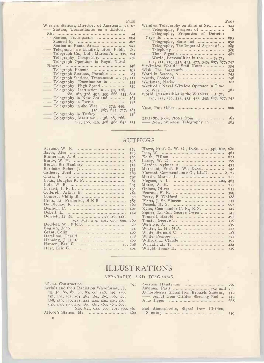| Wireless Stations, Directory of Amateur 53, 97     |                 | <b>Wireless</b>              |
|----------------------------------------------------|-----------------|------------------------------|
| -Station, Transatlantic on a Historic              |                 | $\overline{\phantom{a}}$ Tel |
|                                                    | 24              | Tel<br>$\frac{1}{1}$         |
| -Station, Trans-pacific                            | 664             | Crystal                      |
|                                                    | 467             | $-$ Tele                     |
| -Station at Punta Arenas                           | 621             | $\rightharpoonup$ Tel        |
| - Telegrams are handled, How Public                | 587             | $\rightharpoonup$ Tele       |
| — Telegraph Co., Ltd., Marconi's  336,             | 394             | $-$ Tim                      |
|                                                    | 250             | $-$ Wo:                      |
| - Telegraph Operators in Royal Naval               |                 | 141, 2                       |
| Reserve                                            | 346             | "Wirele                      |
|                                                    | 392             | Wish, Tl                     |
| - Telegraph Stations, Portable                     | 85              | Word in                      |
| - Telegraph Stations, Trans-ocean  94,             | 212             | Words, C                     |
| - Telegraphy, Examination in                       | 333             | Workmar                      |
| Telegraphy, High Speed                             | 139             | Work of                      |
| $\rightarrow$ Telegraphy, Instruction in  52, 118, |                 | of Wai                       |
| 180, 262, 328, 492, 599, 666, 734,                 | 80 <sub>I</sub> | World, P                     |
| - Telegraphy in New Zealand                        | 583             | I4I, 2                       |
|                                                    | 44I             |                              |
| — Telegraphy in the War $375, 449$                 |                 |                              |
| 5I0, 567, 647, 717,                                | 787             | YEAR, Po                     |
|                                                    | 456             |                              |
| - Telegraphy, Maritime  36, 98, 166,               |                 | ZEALAND,                     |
| 244, 306, 439, 508, 580, 642, 715                  |                 | $\rightharpoonup$ Nev        |
|                                                    |                 |                              |

| $-$  |                                                  |                 |  |
|------|--------------------------------------------------|-----------------|--|
| 97   | Wireless Telegraphy on Ships at Sea  342         |                 |  |
|      | — Telegraphy, Progress of                        | - 8             |  |
| 24   | - Telegraphy, Properties of Detector             |                 |  |
| 664  |                                                  | 695             |  |
| 467  |                                                  | 252             |  |
| 621  | — Telegraphy, The Imperial Aspect of             | 28 <sub>Q</sub> |  |
| 587  |                                                  | 589             |  |
| 394  |                                                  | 487             |  |
| 250  | - World, Personalities in the  3, 71,            |                 |  |
|      | 141, 211, 279, 357, 413, 477, 545, 607, 677, 747 |                 |  |
| 346  | "Wireless World" Staff Notes                     | 354             |  |
| 392  |                                                  | 433             |  |
| 85   |                                                  | 745             |  |
| 212  |                                                  | 246             |  |
| 333  |                                                  | 20I             |  |
| 139  | Work of a Naval Wireless Operator in Time        |                 |  |
|      |                                                  | 382             |  |
| 8о г | World, Personalities in the Wireless  3, 71,     |                 |  |
| 583  | 141, 211, 279, 357, 413, 477, 545, 607, 677, 747 |                 |  |
| 44I  |                                                  |                 |  |
|      |                                                  |                 |  |
| 787  |                                                  |                 |  |
| 456  |                                                  |                 |  |
|      |                                                  |                 |  |
| 715  | New, Wireless Telegraphy in                      | 583             |  |

## AUTHORS

|                               | 459             | Howe,    |
|-------------------------------|-----------------|----------|
|                               | 700             | Ison, W  |
|                               | 480             | Keith,   |
|                               | 798             | Lacey,   |
| Brown, Sir Hanbury            | 314             | Liardet  |
|                               | 454             | Marcha:  |
|                               | 769             | Marcon   |
|                               | 797             | Martin,  |
|                               | 84              | Megson   |
|                               | 605             | Morse,   |
|                               | I QO            | Onions,  |
|                               | 284             | Penrose  |
|                               | QO              | Perry.   |
| Cross, Lt. Frederick, R.N.R.  | 387             | Pletts,  |
|                               | 762             |          |
|                               |                 | Pocock,  |
|                               | 407             | Ryam, 0  |
|                               | 142             | Squier,  |
| Dowsett, H. M.  28, 86, 148,  |                 | Trussel. |
| 292, 363, 419, 494, 629, 699, | 760             | Trusty,  |
|                               | 20              | Walrav   |
|                               | 374             | Walter,  |
|                               | 40 <sub>0</sub> | White,   |
|                               | 428             | White,   |
|                               | 460             | Willcox  |
|                               | 798             | Worrall  |
|                               | 404             | Wright,  |
|                               |                 |          |

| Howe, Prof. G. W. O., D.Sc.  546, 612, 680 |     |  |
|--------------------------------------------|-----|--|
|                                            |     |  |
|                                            | 621 |  |
|                                            | 766 |  |
|                                            | 433 |  |
| Marchant, Prof. E. W., D.Sc.               | 748 |  |
| Marconi, Commendatore G., LL.D.  8, 72     |     |  |
|                                            | 755 |  |
|                                            |     |  |
|                                            | 775 |  |
|                                            | 635 |  |
|                                            | 300 |  |
|                                            | 188 |  |
|                                            | 232 |  |
|                                            | 693 |  |
| Ryam, Commander C. P., R.N.                | 142 |  |
| Squier, Lt.-Col. George Owen               | 545 |  |
|                                            | 463 |  |
|                                            | 176 |  |
|                                            | 280 |  |
|                                            | 22I |  |
|                                            | 738 |  |
|                                            | 388 |  |
| Willcox, L. Claude                         | 102 |  |
|                                            | 434 |  |
|                                            | 326 |  |
|                                            |     |  |

# ILLUSTRATIONS

APPARATUS AND DIAGRAMS.

| Aërials and their Radiation Waveforms, 28,     |                                                |  |
|------------------------------------------------|------------------------------------------------|--|
| 29, 30, 86, 87, 88, 89, 90, 148, 149, 150,     | Atmospherics, Signal from Brussels Shewing 749 |  |
| 151, 292, 293, 294, 363, 364, 365, 366, 367,   | -Signal from Clifden Shewing Bad  749          |  |
| 368, 419, 420, 421, 423, 424, 494, 495, 496,   |                                                |  |
| $497, 498, 499, 559, 560, 561, 562, 563, 629,$ |                                                |  |
| 630, 631, 632, 700, 701, 702, 761              | Bad Atmospherics, Signal from Clifden,         |  |
|                                                |                                                |  |
| 8                                              |                                                |  |

PAGE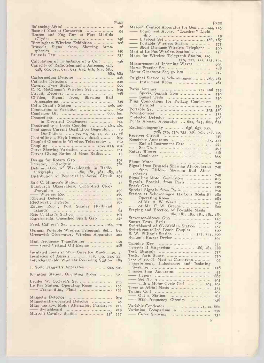|                                                                                       | <b>PAGE</b>    |                                                                                                                                                                                                                                                                                                                                                                                                                       |
|---------------------------------------------------------------------------------------|----------------|-----------------------------------------------------------------------------------------------------------------------------------------------------------------------------------------------------------------------------------------------------------------------------------------------------------------------------------------------------------------------------------------------------------------------|
|                                                                                       | 26             | Marcon                                                                                                                                                                                                                                                                                                                                                                                                                |
| Base of Mast at Carnarvon                                                             | 94             | ----- E                                                                                                                                                                                                                                                                                                                                                                                                               |
| Beacon and Fog Gun at Fort Matilda                                                    |                |                                                                                                                                                                                                                                                                                                                                                                                                                       |
|                                                                                       | 146            | $\overline{\phantom{a}}$ Li                                                                                                                                                                                                                                                                                                                                                                                           |
| Birmingham Wireless Exhibition                                                        | 106            | $-$ Po                                                                                                                                                                                                                                                                                                                                                                                                                |
|                                                                                       |                | $\overline{\phantom{0}}$ SI                                                                                                                                                                                                                                                                                                                                                                                           |
|                                                                                       | 749            | Mast at                                                                                                                                                                                                                                                                                                                                                                                                               |
|                                                                                       | 752            | Masts i                                                                                                                                                                                                                                                                                                                                                                                                               |
|                                                                                       |                |                                                                                                                                                                                                                                                                                                                                                                                                                       |
| Calculation of Inductance of a Coil<br>1.1.1.1.1                                      | 736            | Measur                                                                                                                                                                                                                                                                                                                                                                                                                |
| Capacity of Radiotelegraphic Antennæ, 547,                                            |                | Morse 1                                                                                                                                                                                                                                                                                                                                                                                                               |
| 548, 550, 612, 613, 614, 615, 616, 617, 682,                                          |                | Motor (                                                                                                                                                                                                                                                                                                                                                                                                               |
| 683,                                                                                  | 684            |                                                                                                                                                                                                                                                                                                                                                                                                                       |
| Carborundum Detector                                                                  | 436            | Origina                                                                                                                                                                                                                                                                                                                                                                                                               |
|                                                                                       | 230            | $-$ In                                                                                                                                                                                                                                                                                                                                                                                                                |
| Cavalry Type Station                                                                  | 555            |                                                                                                                                                                                                                                                                                                                                                                                                                       |
| C. E. McCliman's Wireless Set                                                         | 659            | Paris A                                                                                                                                                                                                                                                                                                                                                                                                               |
|                                                                                       | 748            | $\frac{S_{I}}{S_{I}}$                                                                                                                                                                                                                                                                                                                                                                                                 |
| Clifden, Signal from, Shewing Bad                                                     |                |                                                                                                                                                                                                                                                                                                                                                                                                                       |
|                                                                                       | 749            | Plug C                                                                                                                                                                                                                                                                                                                                                                                                                |
| Colin Grant's Station  406,                                                           | 407            | in Pa                                                                                                                                                                                                                                                                                                                                                                                                                 |
| Comparison in Variation                                                               | 750            | Portabl                                                                                                                                                                                                                                                                                                                                                                                                               |
|                                                                                       | 601            | Potentie                                                                                                                                                                                                                                                                                                                                                                                                              |
|                                                                                       | 320            | Protecte                                                                                                                                                                                                                                                                                                                                                                                                              |
| - in Electrical Condensers                                                            | 744            | Punta .                                                                                                                                                                                                                                                                                                                                                                                                               |
| Constructing a Loose Coupler  463,                                                    | 464            | Radiopl                                                                                                                                                                                                                                                                                                                                                                                                               |
| Continuous Current Oscillation Generator                                              | 10             |                                                                                                                                                                                                                                                                                                                                                                                                                       |
| - Oscillations  72, 73, 74, 75, 76, 77, 78<br>Controlling a High-frequency Spark  672 |                | Receive                                                                                                                                                                                                                                                                                                                                                                                                               |
| Coupled Circuits in Wireless Telegraphy                                               |                | Receivi                                                                                                                                                                                                                                                                                                                                                                                                               |
|                                                                                       | 739            | $\frac{E}{\sqrt{S}}$                                                                                                                                                                                                                                                                                                                                                                                                  |
| Curve Shewing Variation                                                               | 234<br>751     |                                                                                                                                                                                                                                                                                                                                                                                                                       |
| Curves Giving Ratios of Mean Radius                                                   | 13             | Rotary                                                                                                                                                                                                                                                                                                                                                                                                                |
|                                                                                       |                | $\overline{\phantom{a}}$ Cc                                                                                                                                                                                                                                                                                                                                                                                           |
| Design for Rotary Gap                                                                 | 595            | Shunt 1                                                                                                                                                                                                                                                                                                                                                                                                               |
| Detector, Electrolytic                                                                | 762            | Signal:                                                                                                                                                                                                                                                                                                                                                                                                               |
|                                                                                       |                | $-$ fre                                                                                                                                                                                                                                                                                                                                                                                                               |
| Determination of Wave-length in Radio-<br>telegraphy  480, 481, 482, 483,             | 484            | spheri                                                                                                                                                                                                                                                                                                                                                                                                                |
| Distribution of Potential in Aërial Circuit                                           | 195            | Signalli                                                                                                                                                                                                                                                                                                                                                                                                              |
| Earl C. Hanson's Station                                                              | 42             | Signals,                                                                                                                                                                                                                                                                                                                                                                                                              |
| Edinburgh Observatory, Controlled Clock                                               |                | Spark C                                                                                                                                                                                                                                                                                                                                                                                                               |
|                                                                                       | 400            | Special                                                                                                                                                                                                                                                                                                                                                                                                               |
|                                                                                       | 489            | Station                                                                                                                                                                                                                                                                                                                                                                                                               |
|                                                                                       | 520            |                                                                                                                                                                                                                                                                                                                                                                                                                       |
|                                                                                       | 762            | $\frac{1}{\sqrt{1-\frac{1}{1-\frac{1}{1-\frac{1}{1-\frac{1}{1-\frac{1}{1-\frac{1}{1-\frac{1}{1-\frac{1}{1-\frac{1}{1-\frac{1}{1-\frac{1}{1-\frac{1}{1-\frac{1}{1-\frac{1}{1-\frac{1}{1-\frac{1}{1-\frac{1}{1-\frac{1}{1-\frac{1}{1-\frac{1}{1-\frac{1}{1-\frac{1}{1-\frac{1}{1-\frac{1}{1-\frac{1}{1-\frac{1}{1-\frac{1}{1-\frac{1}{1-\frac{1}{1-\frac{1}{1-\frac{1}{1-\frac{1}{1-\frac{1}{1-\frac{1}{1-\frac{1}{1-\$ |
|                                                                                       |                | $\overline{\phantom{0}}$ of                                                                                                                                                                                                                                                                                                                                                                                           |
| Electrolytic Detector<br>Engine Room, Port Stanley (Falkland<br>Islands)              | 8 <sub>3</sub> | Staying                                                                                                                                                                                                                                                                                                                                                                                                               |
|                                                                                       | 404            |                                                                                                                                                                                                                                                                                                                                                                                                                       |
| Experimental Quenched Spark Gap                                                       | 257            | Stevenso                                                                                                                                                                                                                                                                                                                                                                                                              |
|                                                                                       |                | Sunset '                                                                                                                                                                                                                                                                                                                                                                                                              |
|                                                                                       |                | Switchb                                                                                                                                                                                                                                                                                                                                                                                                               |
| German Portable Wireless Telegraph Set                                                | 651            | Switch-                                                                                                                                                                                                                                                                                                                                                                                                               |
| Greenwich Observatory Wireless Apparatus                                              | 492            | S. W. F                                                                                                                                                                                                                                                                                                                                                                                                               |
|                                                                                       |                | Syntonie                                                                                                                                                                                                                                                                                                                                                                                                              |
| High-frequency Transformer                                                            | 159            | Tapping                                                                                                                                                                                                                                                                                                                                                                                                               |
| speed Vertical Oil Engine                                                             | 458            | Terrestr                                                                                                                                                                                                                                                                                                                                                                                                              |
| Insulated Joints in Wire Guys for Masts 30, 31                                        |                | Test, B                                                                                                                                                                                                                                                                                                                                                                                                               |
| Insulation of Aërials  328, 329, 330, 331                                             |                | Tests, F                                                                                                                                                                                                                                                                                                                                                                                                              |
| Interchangeable Wireless Receiving Station 189                                        |                | Top of                                                                                                                                                                                                                                                                                                                                                                                                                |
|                                                                                       |                | Transfo                                                                                                                                                                                                                                                                                                                                                                                                               |
| J. Scott Taggart's Apparatus  592, 593                                                |                | Switch                                                                                                                                                                                                                                                                                                                                                                                                                |
|                                                                                       |                | Transmi                                                                                                                                                                                                                                                                                                                                                                                                               |
| Kingston Station, Operating Room                                                      | 302            | $\overline{\phantom{a}}$ Jig                                                                                                                                                                                                                                                                                                                                                                                          |
| Leader W. Collard's Set                                                               | 733            | — Sei                                                                                                                                                                                                                                                                                                                                                                                                                 |
| Le Pas Station, Operating Room                                                        | <b>ISS</b>     | $\frac{1}{\sqrt{2}}$ wit                                                                                                                                                                                                                                                                                                                                                                                              |
|                                                                                       | 155            | Trees as                                                                                                                                                                                                                                                                                                                                                                                                              |
|                                                                                       |                | Tuning                                                                                                                                                                                                                                                                                                                                                                                                                |
|                                                                                       | 672            | $-$ Ou                                                                                                                                                                                                                                                                                                                                                                                                                |
| Magnetically-operated Detector                                                        | 45             | $-$ Hi                                                                                                                                                                                                                                                                                                                                                                                                                |
| Main 300 k.w. Motor Alternator, Carnarvon                                             | 214            | Variable                                                                                                                                                                                                                                                                                                                                                                                                              |
|                                                                                       | 219            | Variatio                                                                                                                                                                                                                                                                                                                                                                                                              |
| Marconi Cavalry Station  556, 557                                                     |                | $\_\_$ Cu                                                                                                                                                                                                                                                                                                                                                                                                             |
|                                                                                       |                |                                                                                                                                                                                                                                                                                                                                                                                                                       |

| 26             | Marconi Control Apparatus for Gun  144; 145                 |            |  |
|----------------|-------------------------------------------------------------|------------|--|
| 94             | - Equipment Aboard "Lurcher" Light-                         |            |  |
|                | ship                                                        | 10         |  |
| 146            |                                                             | 187        |  |
| 10б            | - Portable Wireless Station                                 | 375        |  |
|                | - Short Distance Wireless Telephone                         | 590        |  |
| 749<br>752     | Mast at Le Pas Wireless Station                             | 153        |  |
|                | Masts for Wireless Telegraph Station, 119,                  |            |  |
| 736            | 120, 121, 122, 123,<br>Measurement of Incoming Waves        | I24        |  |
|                |                                                             | 693<br>528 |  |
|                |                                                             | 217        |  |
| 584            |                                                             |            |  |
| 136            | Original Station at Scheveningen  280, 281                  |            |  |
| 230<br>555     |                                                             | 281        |  |
| 550            |                                                             | 753        |  |
| 748            |                                                             | 750        |  |
|                |                                                             | 750        |  |
| 749            | Plug Connections for Putting Condensers                     |            |  |
| 107            |                                                             | 530        |  |
| 750            |                                                             |            |  |
| 1OC            |                                                             | 315        |  |
| 320            |                                                             | 408        |  |
| 44             | Punta Arenas, Apparatus  622, 623, 624, 625                 |            |  |
| 64<br>IO       | Radiophotography  656, 657, 727,                            |            |  |
| 78             | 728, 729, 730, 755, 756, 757, 758,                          | 750        |  |
| 172            |                                                             | 748        |  |
| '39            | Receiving Anparatus  315,                                   | 321        |  |
| 34             | - End of Instrument Cart                                    | 555        |  |
| 51             |                                                             | 403        |  |
| 13             |                                                             | 218        |  |
| 95             | $\longrightarrow$ Condenser                                 | <b>ббо</b> |  |
| '62            |                                                             | 742        |  |
|                | Signal from Brussels Shewing Atmospherics                   | 749        |  |
| 84             | - from Clifden Shewing Bad Atmo-                            |            |  |
| 95             |                                                             | 749        |  |
|                | Signalling Motor Generators<br>Signals, Special, from Paris | 215        |  |
| 42             |                                                             | 750        |  |
| OQ.            | Special Signals from Paris                                  | 105<br>750 |  |
| 80             | Station at Scheveningen Harbour (Rebuilt)                   | 282        |  |
| 20             |                                                             | 283        |  |
| 62             |                                                             | 317        |  |
|                |                                                             | 800        |  |
| 8 <sub>3</sub> | Staying and Erection of Portable Masts                      |            |  |
| 04             | 180, 181, 182, 183, 184,                                    | 185        |  |
| 57             | Stevenson-Moves Gun                                         | 143        |  |
| 70             | Sunset Tests, Paris<br>Switchboard of Ok-Meidan Station     | 750        |  |
| 51             | Switch-controlled Loose Coupler                             | 457<br>100 |  |
| 92             | S. W. Pilling's Station  523, 524, 596                      |            |  |
|                | Syntonic Buzzer Device                                      | 594        |  |
| 59             |                                                             | 732        |  |
| 58             | Terrestrial Magnetism  286, 287, 288                        |            |  |
| 3 <sup>T</sup> |                                                             | 752        |  |
| 3 I            |                                                             | 750        |  |
| 89             | Top of 400-ft. Mast at Carnarvon                            | 94         |  |
|                | Transformers, Inductances and Isolating                     |            |  |
| 93             |                                                             | 216        |  |
| 0 <sup>2</sup> | Transmitting Apparatus                                      | 43         |  |
|                |                                                             | 667        |  |
| 33             |                                                             | 403<br>105 |  |
| 55             | Trees as Aërial Masts                                       | 314        |  |
| 55             |                                                             | IOI        |  |
|                |                                                             | 261        |  |
| 72             | - High-frequency Circuits                                   | 738        |  |
| 45<br>14       | Variable Condenser  21, 22, 660                             |            |  |
| 10             | Variation, Comparison in                                    | 750        |  |
| 57             |                                                             | 751        |  |
|                |                                                             |            |  |

## PAGE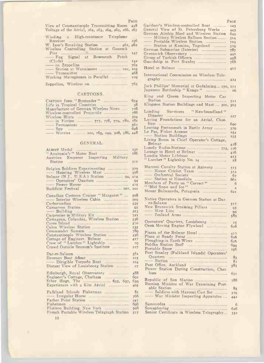PAGE<br>View of Constantinople Transmitting Room 458 Gardner<br>Voltage of the Aërial, 262, 263, 264, 265, 266, 267 General

|                                         | <b>PERSONAL PROPERTY</b>           |
|-----------------------------------------|------------------------------------|
| Winding a High-resistance Telephone     | $\sim$ $\sim$ $\sim$ $\sim$ $\sim$ |
|                                         | $- F$                              |
|                                         | $-$ S                              |
| Wireless Controlling Station at Gourock | Germa                              |
|                                         | Greeny                             |
| - Fog Signal at Roseneath Patch         | Group                              |
|                                         | Guard:                             |
|                                         |                                    |
| -Station at Warminster  102, 103        | Hotel                              |
|                                         | Intern                             |
| Working Microphones in Parallel  229    | grap                               |
|                                         |                                    |

Zeppelins, Wireless on 765

#### CARTOONS.

|                                         |     | Stati   |
|-----------------------------------------|-----|---------|
|                                         |     | Kingsto |
| Manufacture of German Wireless News     | 716 |         |
| Wireless-controlled Projectile          | 786 | Landin  |
|                                         | 504 | Disas   |
| - in Fiction  777, 778, 779, 780,       | 78I | Laving  |
|                                         |     | ham     |
|                                         | 646 | Leavin  |
| - Worries  100, 163, 249, 308, 386, 448 |     | Le Pas  |

#### GENERAL.

| ALBERT Medal<br>"Aquitania's " Motor Boat<br>Austrian Emperor Inspecting Military                | 23I<br><b>186</b><br>511 | гоный<br>Lounge<br>Lundin<br>"Lurch                       |
|--------------------------------------------------------------------------------------------------|--------------------------|-----------------------------------------------------------|
| Belgian Soldiers Experimenting<br>- Hoisting Wireless Mast<br>Belmar (N.J., U.S.A.) Station  94, | 379<br>378<br>4I4        | Marconi<br>$-$ H<br>$\overline{\phantom{0}}$ Or<br>$-$ St |
| - Operators' Quarters                                                                            | $Q_4$                    | Member                                                    |
|                                                                                                  | 415                      | "Mid                                                      |
| Buddhist Festival  201,                                                                          | 202                      | Mount 1                                                   |
| Canadian Customs Cruiser "Margaret"<br>- Interior Wireless Cabin                                 | 508<br>500<br>435        | Native<br>es-Sal                                          |
|                                                                                                  | 95                       | New B <sub>1</sub>                                        |
|                                                                                                  | 2I <sub>3</sub>          | $- M$                                                     |
| Carpentier in Military Kit                                                                       | 721                      | $-$ Ze                                                    |
| Cartagena, Colombia, Wireless Station<br>Colon Wireless Station                                  | 536<br>570<br>535        | Operato<br>Oxen <sub>M</sub>                              |
| Commander Samson                                                                                 | 78q                      | Piazza                                                    |
| Constantinople Wireless Station                                                                  | 456                      | Plaza a                                                   |
| Cottage of Engineer. Belmar                                                                      | 417                      | Ploughi                                                   |
| Crew of "Lurcher" Lightship<br>Crowd Outside Seamen's Institute                                  | IQ<br>227                | Poldhu<br>Portabl<br>Port St                              |
|                                                                                                  | 38 <sub>L</sub>          | Ouart                                                     |
| Deveaux Boat Afloat                                                                              | 225                      | $-$ St                                                    |
| - Dirigible Torpedo Boat                                                                         | 224                      | Post Of                                                   |
| Distant View of Louisbourg Station                                                               | 27                       | Power                                                     |
| Edinburgh, Royal Observatory                                                                     | 488                      | ham                                                       |
| Engineer's Cottage, Chatham                                                                      | 602                      | Republi                                                   |
| Ether Hogs, The  635, 637,                                                                       | 630                      | Russian                                                   |
| Experiences with a Kite Aërial                                                                   | 405                      | able:                                                     |
| Falkland Islands Fisherman                                                                       | 8 <sub>I</sub>           | $-$ Sc                                                    |
|                                                                                                  | 766                      | $-$ W                                                     |
| Father Point Station<br>Flatiron Building, New York                                              | 24I<br>606<br>708        | Samove<br>Semaph                                          |
| French Portable Wireless Telegraph Station                                                       | 517                      | Senior                                                    |

| <b>AGE</b>            |                                                                                 | PAGE                  |  |
|-----------------------|---------------------------------------------------------------------------------|-----------------------|--|
| 458                   | Gardner's Wireless-controlled Boat                                              | 223                   |  |
| 267                   | General View of St. Petersburg Works                                            | 443                   |  |
|                       | German Airship Shed and Wireless Station<br>- Military Wireless Balloon Section | 649                   |  |
| 256                   |                                                                                 | 514<br>719            |  |
| 162                   | - Portable Wireless Station<br>- Station at Kamina, Togoland                    | 519                   |  |
|                       | German Submarine (Interior)                                                     | 787                   |  |
| 147                   | Greenwich Observatory                                                           | 401                   |  |
|                       | Group of Turkish Officers                                                       | 458                   |  |
| 142<br>765            | Guardship in Port Stanley                                                       | 768                   |  |
| 103                   |                                                                                 | 417                   |  |
| 468                   |                                                                                 |                       |  |
| 220                   | International Commission on Wireless Tele-                                      |                       |  |
|                       |                                                                                 | 424                   |  |
| 765                   | Jack Phillips' Memorial at Godalming 170, 171                                   |                       |  |
|                       | Japanese Battleship "Kongo"                                                     | <b>10</b>             |  |
|                       | King and Queen Inspecting Motor Car                                             |                       |  |
| 654                   |                                                                                 | 5II                   |  |
| 38                    | Kingston Station Buildings and Mast  301, 303                                   |                       |  |
| 716                   |                                                                                 |                       |  |
| 786                   | Landing Survivors "Newfoundland"                                                |                       |  |
| 504                   |                                                                                 | 227                   |  |
| 78I                   | Laying Foundations for an Aërial, Chat-                                         | 600                   |  |
| 567<br>646            | Leaving Portsmouth in Battle Array                                              | 379                   |  |
| 448                   |                                                                                 | <b>I54</b>            |  |
|                       |                                                                                 | 155                   |  |
|                       | Living Room in Chief Operator's Cottage,                                        |                       |  |
|                       |                                                                                 | 418                   |  |
| 23I                   | Lonely Radio-Stations  775, 776                                                 |                       |  |
| 186                   | Lounge in Hotel at Belmar                                                       | 416                   |  |
|                       | Lundin Motor Lifeboat<br>"Lurcher" Lightship No. 14                             | 453                   |  |
| 511                   |                                                                                 | 18                    |  |
| 379                   | Marconi Cavalry Station at Antwerp                                              | 515                   |  |
| 378                   | House Cricket Team                                                              | 354                   |  |
| 414                   |                                                                                 | 67                    |  |
| 94                    | Station at Honolulu                                                             | 66s                   |  |
| 415                   |                                                                                 | - 6                   |  |
| 202                   | Mount Balmaceda, Patagonia                                                      | $\overline{4}$<br>021 |  |
| 508                   |                                                                                 |                       |  |
| 500                   | Native Operators in German Station at Dar-                                      |                       |  |
| 435                   |                                                                                 | 517                   |  |
| 95                    | New Brunswick Straining Pillars                                                 | 95                    |  |
| 213                   |                                                                                 | 95                    |  |
| 721                   |                                                                                 | 583                   |  |
| 536<br>570            | Operators' Quarters, Louisbourg                                                 | 25                    |  |
| 535                   | Oxen Moving Engine Flywheel                                                     | 626                   |  |
| 789                   |                                                                                 |                       |  |
| 456                   | Plaza at Sandy Point                                                            | 626                   |  |
| 4 <sub>17</sub>       | Ploughing-in Earth Wires                                                        | 626                   |  |
| IO                    |                                                                                 | 694                   |  |
| 227                   | Portable Store                                                                  | <b>156</b>            |  |
| 38 <sub>L</sub>       | Port Stanley (Falkland Islands) Operators'                                      |                       |  |
| 225                   | Quarters                                                                        | 83                    |  |
| 224                   |                                                                                 | 82                    |  |
| 27                    | Power Station During Construction, Chat-                                        | 585                   |  |
| 488                   | ham                                                                             |                       |  |
| 692                   |                                                                                 | 691                   |  |
| 639                   | Republic of San Marino                                                          | 788                   |  |
| 405                   | Russian Minister of War Examining Port-                                         |                       |  |
|                       |                                                                                 | 85                    |  |
| 8 <sub>I</sub><br>766 | -Soldiers with Marconi Cart Set<br>- War Minister Inspecting Apparatus          | 379                   |  |
| 24I                   |                                                                                 | 442                   |  |
| 606                   | Samoyedes                                                                       | 6                     |  |
| 708                   |                                                                                 | 626                   |  |
| 517                   | Senior Certificate in Wireless Telegraphy                                       | 332                   |  |
|                       |                                                                                 |                       |  |

10

ö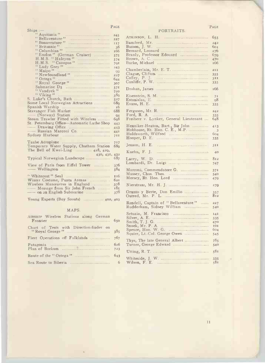|                                                                                              | PAGE             |                                   |
|----------------------------------------------------------------------------------------------|------------------|-----------------------------------|
| $\text{Ships} :=$                                                                            |                  |                                   |
| "Aquitania" <b>Martin According to Aquitania</b> "                                           | 245              |                                   |
|                                                                                              | 227              | <b>ATKIN</b>                      |
|                                                                                              | 117              | Bamfo                             |
| " Britannic"<br>"Columbian"                                                                  | 36               | <b>Bassor</b>                     |
|                                                                                              | I <sub>66</sub>  | Bernar                            |
| "Emden" (German Cruiser)                                                                     |                  | Branly                            |
|                                                                                              | 575              | Brown                             |
|                                                                                              | 574              | Burke,                            |
| H.M.S. "Halcyon"<br>H.M.S. "Canopus"<br>"Lady Grey"<br>"Maipo"<br>"Newtoundland"<br>"Newton" | 79I              |                                   |
|                                                                                              | 243              | Chaml                             |
|                                                                                              | QQ               | Clague                            |
|                                                                                              | 227              |                                   |
|                                                                                              | 644              | Coffey                            |
| "Ortega"<br>"Royal George"                                                                   | 307              | Cunlif                            |
|                                                                                              | 57I              | Droha:                            |
|                                                                                              | 720              |                                   |
| "Vandyck" $\cdots$                                                                           | 380              | Eisens                            |
| S. Luke's Church, Bath                                                                       | 527              | Estani                            |
| Some Local Norwegian Attractions                                                             | <b>68g</b>       | Evans,                            |
|                                                                                              | <sup>16</sup>    |                                   |
| Stavanger Fish Market                                                                        | 688              | Fergu:                            |
|                                                                                              | Q <sub>4</sub>   | Ford,                             |
| Steam Trawler Fitted with Wireless                                                           | 6 <sub>0</sub> 8 | Freihe                            |
| St. Petersburg Office—Automatic Lathe Shop                                                   | 443              |                                   |
|                                                                                              | 443              | Henni                             |
| -Russian Marconi Co.                                                                         |                  | Hobhc                             |
|                                                                                              | 441              | Holds                             |
|                                                                                              | 7II              | Hoope                             |
| Taube Aëroplane                                                                              | 717              |                                   |
| Temporary Water Supply, Chatham Station                                                      | <b>680</b>       | Jenson                            |
|                                                                                              |                  |                                   |
| The Bell of Kwei-Ling  428, 429,                                                             |                  | Kuehn                             |
| 430, 431, 432                                                                                |                  |                                   |
| Typical Norwegian Landscape                                                                  | 687              | $L$ acey,                         |
| View of Paris from Eiffel Tower                                                              | 376              | Lomba                             |
|                                                                                              | 584              |                                   |
|                                                                                              |                  | Marco                             |
|                                                                                              | 116              | Masse                             |
| Winter Costume, Punta Arenas                                                                 | 621              | Merse;                            |
| Wireless Manceuvres in England                                                               | 378              |                                   |
|                                                                                              | 185              | Nierst                            |
| Message from Sir John French                                                                 |                  |                                   |
|                                                                                              | 378              | Orunte                            |
| Young Experts (Boy Scouts)  402, 403                                                         |                  | Outred                            |
|                                                                                              |                  | <b>Contract Contract Contract</b> |

#### MAPS.

| AIRSHIP Wireless Stations along German  |     | Silver, $A. E.$<br>Smith, T. J. G.                        |
|-----------------------------------------|-----|-----------------------------------------------------------|
| Chart of Tests with Direction-finder on | 385 | Snoek, Mr. P. A.<br>Spence, Hon. W.<br>Squier, Lt.-Col. G |
|                                         |     | Thys, The late Go                                         |
| Plan of Borkum                          | 723 | Turner, George E.<br>Utting, R. T.                        |
|                                         |     | Whiteside, J. W.                                          |
|                                         |     | Wilson, F. E.                                             |

 $\triangleleft$ 

### PORTRAITS.

| "Bellaventure"                             | -45<br>227                  |                                                                                                    | 655                          |
|--------------------------------------------|-----------------------------|----------------------------------------------------------------------------------------------------|------------------------------|
|                                            | 117                         | $\texttt{Bamford}, \texttt{Mr.} \dots \dots \dots \dots \dots \dots \dots \dots \dots \dots \dots$ | 242                          |
|                                            | 36                          |                                                                                                    | 60 <sub>4</sub>              |
|                                            | I <sub>0</sub> <sup>6</sup> |                                                                                                    | 276                          |
|                                            | 575                         | Branly, Professor Edouard                                                                          | 679                          |
|                                            | 574                         |                                                                                                    | 470                          |
|                                            | <b>791</b>                  |                                                                                                    | 166                          |
|                                            | 243                         |                                                                                                    |                              |
|                                            | 99                          |                                                                                                    | 211                          |
|                                            | 227                         |                                                                                                    | 355                          |
|                                            | 644                         |                                                                                                    | 3II                          |
|                                            | 307                         |                                                                                                    | 335                          |
|                                            | 57I                         |                                                                                                    |                              |
|                                            | 720                         |                                                                                                    | 166                          |
| "Vandyck"<br>"Viking"                      | 380                         |                                                                                                    |                              |
|                                            | 527                         |                                                                                                    | 71                           |
| Some Local Norwegian Attractions           | <b>680</b>                  |                                                                                                    | 98                           |
|                                            | 16                          |                                                                                                    | 335                          |
|                                            | 688                         |                                                                                                    | 242                          |
|                                            | 04                          |                                                                                                    | 335                          |
| Steam Trawler Fitted with Wireless         | 6 <sub>0</sub> 8            | Freiherr v. Lynker, General Lieutenant                                                             | 648                          |
| St. Petersburg Office—Automatic Lathe Shop |                             |                                                                                                    |                              |
|                                            | 443                         | Henniker-Heaton, Bart., Sir John                                                                   | 413                          |
|                                            | 443                         | Hobhouse, Rt. Hon. C. E., M.P.                                                                     | 3                            |
|                                            | 441                         |                                                                                                    | 604                          |
|                                            | 7II                         |                                                                                                    | 335                          |
| Taube Aëroplane                            | 717                         |                                                                                                    |                              |
| Temporary Water Supply, Chatham Station    | 68 <sub>0</sub>             |                                                                                                    | 3II                          |
| The Bell of Kwei-Ling  428, 429,           |                             |                                                                                                    |                              |
| 430, 431, 432                              |                             |                                                                                                    | 40                           |
| Typical Norwegian Landscape                | 687                         |                                                                                                    | 812                          |
|                                            |                             |                                                                                                    |                              |
| View of Paris from Eiffel Tower            | 376                         |                                                                                                    | 747                          |
|                                            | 584                         | Marconi, Commendatore G.                                                                           | 37 <sup>1</sup>              |
|                                            |                             |                                                                                                    | 540                          |
|                                            | 116                         |                                                                                                    | 479                          |
| Winter Costume, Punta Arenas               | 621                         |                                                                                                    |                              |
| Wireless Manceuvres in England             | 378                         |                                                                                                    | 279                          |
| Message from Sir John French               | 185                         |                                                                                                    |                              |
| —— on an English Submarine                 | 378                         | Orunto y Berte, Don Emilio                                                                         | 357                          |
|                                            |                             |                                                                                                    | 812                          |
| Young Experts (Boy Scouts)  402, 403       |                             |                                                                                                    |                              |
|                                            |                             | Randell, Captain of "Bellaventure"                                                                 | 227                          |
| MAPS.                                      |                             | Rudderham, Sidney William                                                                          | 540                          |
|                                            |                             | Setuain, M. Francisco                                                                              | 141                          |
| AIRSHIP Wireless Stations along German     |                             |                                                                                                    | 335                          |
|                                            | 650                         | Smith, T. J. G.                                                                                    | 470                          |
|                                            |                             |                                                                                                    | 101                          |
| Chart of Tests with Direction-finder on    |                             |                                                                                                    | 604                          |
|                                            | 385                         | Squier, Lt.-Col. George Owen                                                                       | 545                          |
| Fleet Operations off Falklands             | 767                         |                                                                                                    |                              |
|                                            |                             | Thys, The late General Albert                                                                      | 785                          |
|                                            | 626                         | Turner, George Edward                                                                              | 540                          |
|                                            | 723                         |                                                                                                    |                              |
|                                            |                             |                                                                                                    | 58I                          |
| Route of the "Ortega"                      | 643                         |                                                                                                    |                              |
|                                            |                             |                                                                                                    | 335<br>$\mathbb{Q}$ .<br>581 |
|                                            | 6                           |                                                                                                    |                              |

PAGE